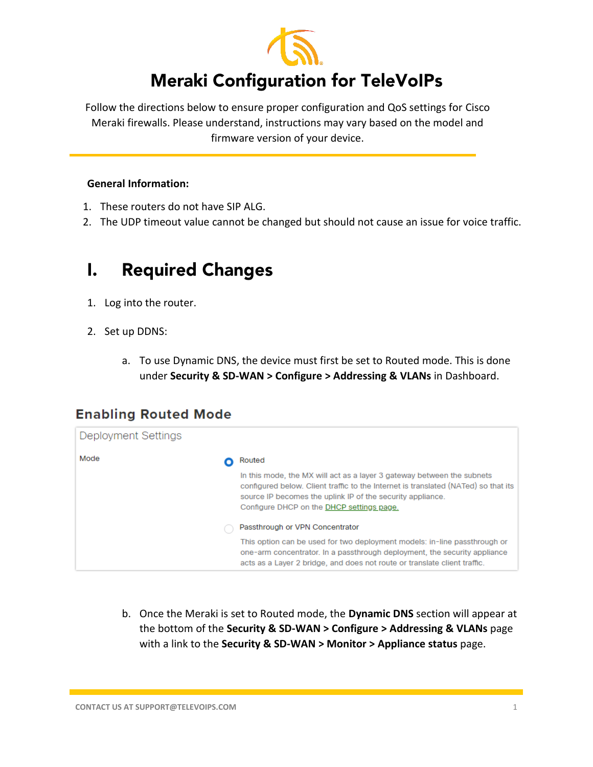

# **Meraki Configuration for TeleVoIPs**

Follow the directions below to ensure proper configuration and QoS settings for Cisco Meraki firewalls. Please understand, instructions may vary based on the model and firmware version of your device.

### **General Information:**

- 1. These routers do not have SIP ALG.
- 2. The UDP timeout value cannot be changed but should not cause an issue for voice traffic.

#### **Required Changes**  $\mathbf{l}$ .

- 1. Log into the router.
- 2. Set up DDNS:
	- a. To use Dynamic DNS, the device must first be set to Routed mode. This is done under **Security & SD-WAN > Configure > Addressing & VLANs** in Dashboard.

## **Enabling Routed Mode**

| Deployment Settings |                                                                                                                                                                                                                                                                         |
|---------------------|-------------------------------------------------------------------------------------------------------------------------------------------------------------------------------------------------------------------------------------------------------------------------|
| Mode                | Routed                                                                                                                                                                                                                                                                  |
|                     | In this mode, the MX will act as a layer 3 gateway between the subnets<br>configured below. Client traffic to the Internet is translated (NATed) so that its<br>source IP becomes the uplink IP of the security appliance.<br>Configure DHCP on the DHCP settings page. |
|                     | Passthrough or VPN Concentrator                                                                                                                                                                                                                                         |
|                     | This option can be used for two deployment models: in-line passthrough or<br>one-arm concentrator. In a passthrough deployment, the security appliance<br>acts as a Laver 2 bridge, and does not route or translate client traffic.                                     |

b. Once the Meraki is set to Routed mode, the **Dynamic DNS** section will appear at the bottom of the **Security & SD-WAN > Configure > Addressing & VLANs** page with a link to the **Security & SD-WAN > Monitor > Appliance status** page.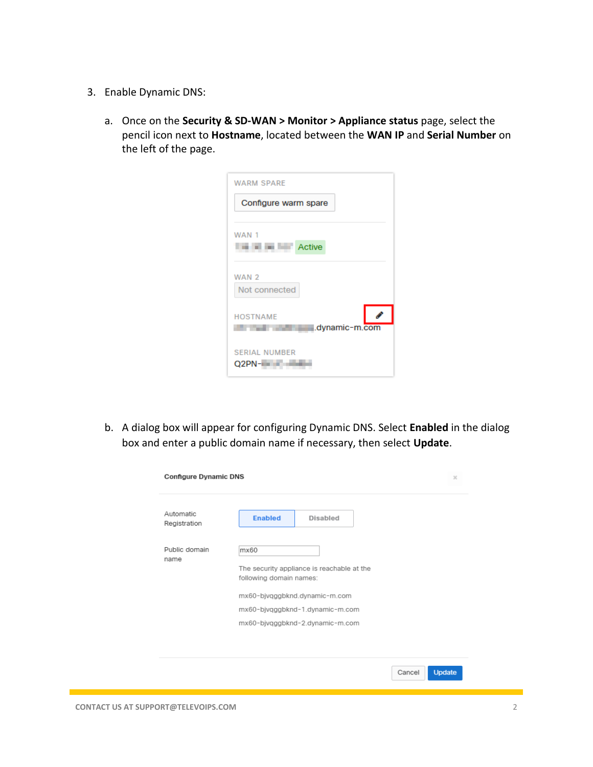- 3. Enable Dynamic DNS:
	- a. Once on the **Security & SD-WAN > Monitor > Appliance status** page, select the pencil icon next to **Hostname**, located between the **WAN IP** and **Serial Number** on the left of the page.

| <b>WARM SPARE</b>                 |  |
|-----------------------------------|--|
| Configure warm spare              |  |
| WAN 1                             |  |
| <b>Active</b>                     |  |
|                                   |  |
| WAN 2                             |  |
| Not connected                     |  |
| <b>HOSTNAME</b><br>.dynamic-m.com |  |
| <b>SERIAL NUMBER</b><br>Q2PN-I    |  |

b. A dialog box will appear for configuring Dynamic DNS. Select **Enabled** in the dialog box and enter a public domain name if necessary, then select **Update**.

| Automatic<br>Registration | <b>Enabled</b><br><b>Disabled</b>                                     |
|---------------------------|-----------------------------------------------------------------------|
| Public domain             | mx60                                                                  |
| name                      | The security appliance is reachable at the<br>following domain names: |
|                           | mx60-bjvgggbknd.dynamic-m.com                                         |
|                           | mx60-bjvqggbknd-1.dynamic-m.com                                       |
|                           | mx60-bjvqggbknd-2.dynamic-m.com                                       |

Cancel Update